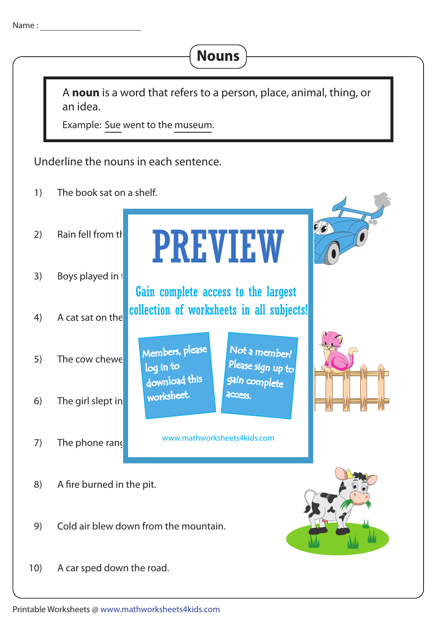